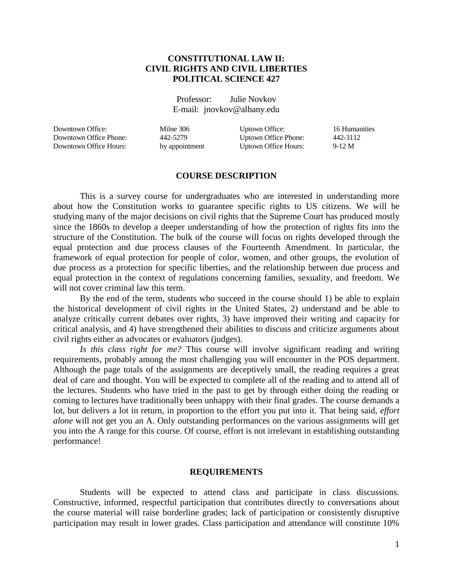### **CONSTITUTIONAL LAW II: CIVIL RIGHTS AND CIVIL LIBERTIES POLITICAL SCIENCE 427**

Professor: Julie Novkov E-mail: jnovkov@albany.edu

Downtown Office: Milne 306 Uptown Office: 16 Humanities Downtown Office Phone: 442-5279 Uptown Office Phone: 442-3112 Downtown Office Hours: by appointment Uptown Office Hours: 9-12 M

### **COURSE DESCRIPTION**

This is a survey course for undergraduates who are interested in understanding more about how the Constitution works to guarantee specific rights to US citizens. We will be studying many of the major decisions on civil rights that the Supreme Court has produced mostly since the 1860s to develop a deeper understanding of how the protection of rights fits into the structure of the Constitution. The bulk of the course will focus on rights developed through the equal protection and due process clauses of the Fourteenth Amendment. In particular, the framework of equal protection for people of color, women, and other groups, the evolution of due process as a protection for specific liberties, and the relationship between due process and equal protection in the context of regulations concerning families, sexuality, and freedom. We will not cover criminal law this term.

By the end of the term, students who succeed in the course should 1) be able to explain the historical development of civil rights in the United States, 2) understand and be able to analyze critically current debates over rights, 3) have improved their writing and capacity for critical analysis, and 4) have strengthened their abilities to discuss and criticize arguments about civil rights either as advocates or evaluators (judges).

*Is this class right for me?* This course will involve significant reading and writing requirements, probably among the most challenging you will encounter in the POS department. Although the page totals of the assignments are deceptively small, the reading requires a great deal of care and thought. You will be expected to complete all of the reading and to attend all of the lectures. Students who have tried in the past to get by through either doing the reading or coming to lectures have traditionally been unhappy with their final grades. The course demands a lot, but delivers a lot in return, in proportion to the effort you put into it. That being said, *effort alone* will not get you an A. Only outstanding performances on the various assignments will get you into the A range for this course. Of course, effort is not irrelevant in establishing outstanding performance!

#### **REQUIREMENTS**

Students will be expected to attend class and participate in class discussions. Constructive, informed, respectful participation that contributes directly to conversations about the course material will raise borderline grades; lack of participation or consistently disruptive participation may result in lower grades. Class participation and attendance will constitute 10%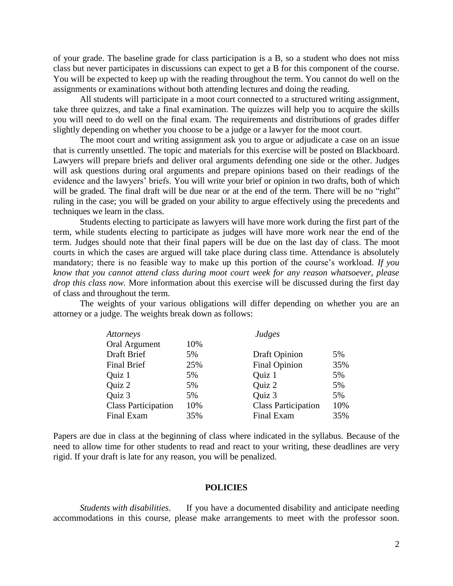of your grade. The baseline grade for class participation is a B, so a student who does not miss class but never participates in discussions can expect to get a B for this component of the course. You will be expected to keep up with the reading throughout the term. You cannot do well on the assignments or examinations without both attending lectures and doing the reading.

All students will participate in a moot court connected to a structured writing assignment, take three quizzes, and take a final examination. The quizzes will help you to acquire the skills you will need to do well on the final exam. The requirements and distributions of grades differ slightly depending on whether you choose to be a judge or a lawyer for the moot court.

The moot court and writing assignment ask you to argue or adjudicate a case on an issue that is currently unsettled. The topic and materials for this exercise will be posted on Blackboard. Lawyers will prepare briefs and deliver oral arguments defending one side or the other. Judges will ask questions during oral arguments and prepare opinions based on their readings of the evidence and the lawyers' briefs. You will write your brief or opinion in two drafts, both of which will be graded. The final draft will be due near or at the end of the term. There will be no "right" ruling in the case; you will be graded on your ability to argue effectively using the precedents and techniques we learn in the class.

Students electing to participate as lawyers will have more work during the first part of the term, while students electing to participate as judges will have more work near the end of the term. Judges should note that their final papers will be due on the last day of class. The moot courts in which the cases are argued will take place during class time. Attendance is absolutely mandatory; there is no feasible way to make up this portion of the course's workload. *If you know that you cannot attend class during moot court week for any reason whatsoever, please drop this class now.* More information about this exercise will be discussed during the first day of class and throughout the term.

The weights of your various obligations will differ depending on whether you are an attorney or a judge. The weights break down as follows:

| Attorneys                  |     | Judges                     |     |
|----------------------------|-----|----------------------------|-----|
| Oral Argument              | 10% |                            |     |
| Draft Brief                | 5%  | <b>Draft Opinion</b>       | 5%  |
| <b>Final Brief</b>         | 25% | <b>Final Opinion</b>       | 35% |
| Quiz 1                     | 5%  | Quiz 1                     | 5%  |
| Quiz 2                     | 5%  | Quiz 2                     | 5%  |
| Quiz 3                     | 5%  | Quiz 3                     | 5%  |
| <b>Class Participation</b> | 10% | <b>Class Participation</b> | 10% |
| Final Exam                 | 35% | <b>Final Exam</b>          | 35% |

Papers are due in class at the beginning of class where indicated in the syllabus. Because of the need to allow time for other students to read and react to your writing, these deadlines are very rigid. If your draft is late for any reason, you will be penalized.

#### **POLICIES**

*Students with disabilities*. If you have a documented disability and anticipate needing accommodations in this course, please make arrangements to meet with the professor soon.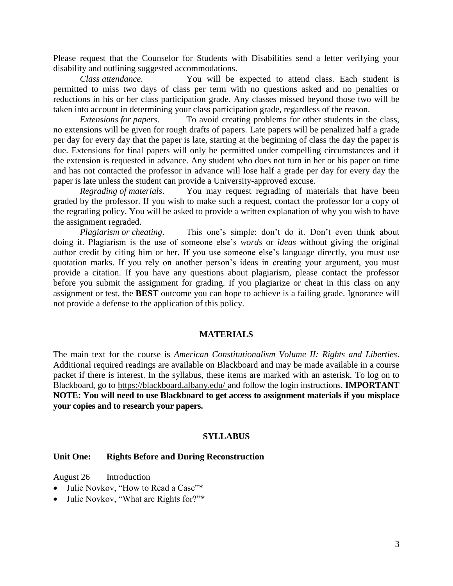Please request that the Counselor for Students with Disabilities send a letter verifying your disability and outlining suggested accommodations.

*Class attendance*. You will be expected to attend class. Each student is permitted to miss two days of class per term with no questions asked and no penalties or reductions in his or her class participation grade. Any classes missed beyond those two will be taken into account in determining your class participation grade, regardless of the reason.

*Extensions for papers*. To avoid creating problems for other students in the class, no extensions will be given for rough drafts of papers. Late papers will be penalized half a grade per day for every day that the paper is late, starting at the beginning of class the day the paper is due. Extensions for final papers will only be permitted under compelling circumstances and if the extension is requested in advance. Any student who does not turn in her or his paper on time and has not contacted the professor in advance will lose half a grade per day for every day the paper is late unless the student can provide a University-approved excuse.

*Regrading of materials*. You may request regrading of materials that have been graded by the professor. If you wish to make such a request, contact the professor for a copy of the regrading policy. You will be asked to provide a written explanation of why you wish to have the assignment regraded.

*Plagiarism or cheating.* This one's simple: don't do it. Don't even think about doing it. Plagiarism is the use of someone else's *words* or *ideas* without giving the original author credit by citing him or her. If you use someone else's language directly, you must use quotation marks. If you rely on another person's ideas in creating your argument, you must provide a citation. If you have any questions about plagiarism, please contact the professor before you submit the assignment for grading. If you plagiarize or cheat in this class on any assignment or test, the **BEST** outcome you can hope to achieve is a failing grade. Ignorance will not provide a defense to the application of this policy.

## **MATERIALS**

The main text for the course is *American Constitutionalism Volume II: Rights and Liberties*. Additional required readings are available on Blackboard and may be made available in a course packet if there is interest. In the syllabus, these items are marked with an asterisk. To log on to Blackboard, go to https://blackboard.albany.edu/ and follow the login instructions. **IMPORTANT NOTE: You will need to use Blackboard to get access to assignment materials if you misplace your copies and to research your papers.**

### **SYLLABUS**

### **Unit One: Rights Before and During Reconstruction**

August 26 Introduction

- Julie Novkov, "How to Read a Case"\*
- Julie Novkov, "What are Rights for?"\*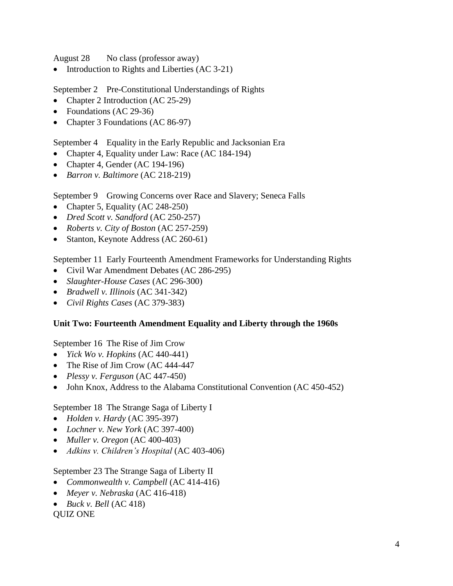August 28 No class (professor away)

• Introduction to Rights and Liberties (AC 3-21)

September 2 Pre-Constitutional Understandings of Rights

- Chapter 2 Introduction (AC 25-29)
- Foundations (AC 29-36)
- Chapter 3 Foundations (AC 86-97)

September 4 Equality in the Early Republic and Jacksonian Era

- Chapter 4, Equality under Law: Race (AC 184-194)
- Chapter 4, Gender (AC 194-196)
- *Barron v. Baltimore* (AC 218-219)

September 9 Growing Concerns over Race and Slavery; Seneca Falls

- Chapter 5, Equality (AC 248-250)
- *Dred Scott v. Sandford* (AC 250-257)
- *Roberts v. City of Boston* (AC 257-259)
- Stanton, Keynote Address (AC 260-61)

September 11 Early Fourteenth Amendment Frameworks for Understanding Rights

- Civil War Amendment Debates (AC 286-295)
- *Slaughter-House Cases* (AC 296-300)
- *Bradwell v. Illinois* (AC 341-342)
- *Civil Rights Cases* (AC 379-383)

# **Unit Two: Fourteenth Amendment Equality and Liberty through the 1960s**

September 16 The Rise of Jim Crow

- *Yick Wo v. Hopkins* (AC 440-441)
- The Rise of Jim Crow (AC 444-447
- *Plessy v. Ferguson* (AC 447-450)
- John Knox, Address to the Alabama Constitutional Convention (AC 450-452)

September 18 The Strange Saga of Liberty I

- *Holden v. Hardy* (AC 395-397)
- *Lochner v. New York* (AC 397-400)
- *Muller v. Oregon* (AC 400-403)
- *Adkins v. Children's Hospital* (AC 403-406)

September 23 The Strange Saga of Liberty II

- *Commonwealth v. Campbell* (AC 414-416)
- *Meyer v. Nebraska* (AC 416-418)
- $\bullet$  *Buck v. Bell* (AC 418)

QUIZ ONE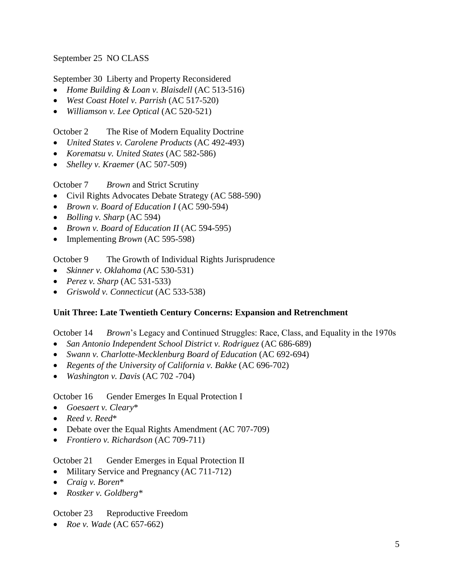September 25 NO CLASS

September 30 Liberty and Property Reconsidered

- *Home Building & Loan v. Blaisdell* (AC 513-516)
- *West Coast Hotel v. Parrish* (AC 517-520)
- *Williamson v. Lee Optical* (AC 520-521)

October 2 The Rise of Modern Equality Doctrine

- *United States v. Carolene Products* (AC 492-493)
- *Korematsu v. United States* (AC 582-586)
- *Shelley v. Kraemer* (AC 507-509)

October 7 *Brown* and Strict Scrutiny

- Civil Rights Advocates Debate Strategy (AC 588-590)
- *Brown v. Board of Education I* (AC 590-594)
- *Bolling v. Sharp* (AC 594)
- *Brown v. Board of Education II* (AC 594-595)
- Implementing *Brown* (AC 595-598)

October 9 The Growth of Individual Rights Jurisprudence

- *Skinner v. Oklahoma* (AC 530-531)
- *Perez v. Sharp* (AC 531-533)
- *Griswold v. Connecticut* (AC 533-538)

## **Unit Three: Late Twentieth Century Concerns: Expansion and Retrenchment**

October 14 *Brown*'s Legacy and Continued Struggles: Race, Class, and Equality in the 1970s

- *San Antonio Independent School District v. Rodriguez* (AC 686-689)
- *Swann v. Charlotte-Mecklenburg Board of Education* (AC 692-694)
- *Regents of the University of California v. Bakke* (AC 696-702)
- *Washington v. Davis* (AC 702 -704)

October 16 Gender Emerges In Equal Protection I

- *Goesaert v. Cleary*\*
- *Reed v. Reed*\*
- Debate over the Equal Rights Amendment (AC 707-709)
- *Frontiero v. Richardson* (AC 709-711)

## October 21 Gender Emerges in Equal Protection II

- Military Service and Pregnancy (AC 711-712)
- *Craig v. Boren*\*
- *Rostker v. Goldberg\**

# October 23 Reproductive Freedom

*Roe v. Wade* (AC 657-662)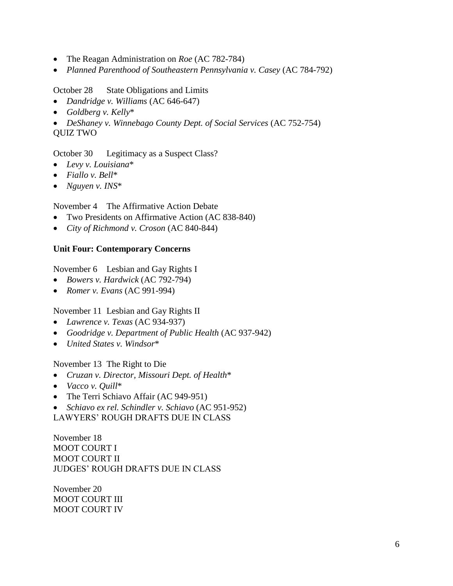- The Reagan Administration on *Roe* (AC 782-784)
- *Planned Parenthood of Southeastern Pennsylvania v. Casey* (AC 784-792)

## October 28 State Obligations and Limits

- *Dandridge v. Williams* (AC 646-647)
- *Goldberg v. Kelly*\*
- *DeShaney v. Winnebago County Dept. of Social Services* (AC 752-754)
- QUIZ TWO

October 30 Legitimacy as a Suspect Class?

- *Levy v. Louisiana*\*
- *Fiallo v. Bell*\*
- *Nguyen v. INS*\*

November 4 The Affirmative Action Debate

- Two Presidents on Affirmative Action (AC 838-840)
- *City of Richmond v. Croson* (AC 840-844)

## **Unit Four: Contemporary Concerns**

November 6 Lesbian and Gay Rights I

- *Bowers v. Hardwick* (AC 792-794)
- *Romer v. Evans* (AC 991-994)

November 11 Lesbian and Gay Rights II

- *Lawrence v. Texas* (AC 934-937)
- *Goodridge v. Department of Public Health* (AC 937-942)
- *United States v. Windsor*\*

November 13 The Right to Die

- *Cruzan v. Director, Missouri Dept. of Health*\*
- *Vacco v. Quill*\*
- The Terri Schiavo Affair (AC 949-951)

*Schiavo ex rel. Schindler v. Schiavo* (AC 951-952)

LAWYERS' ROUGH DRAFTS DUE IN CLASS

November 18 MOOT COURT I MOOT COURT II JUDGES' ROUGH DRAFTS DUE IN CLASS

November 20 MOOT COURT III MOOT COURT IV